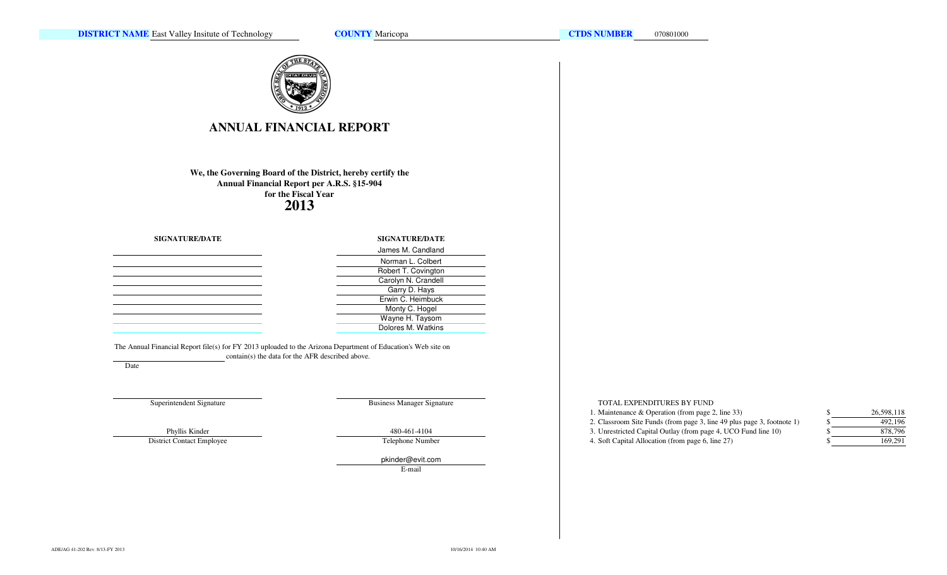**COUNTY** Maricopa



# **ANNUAL FINANCIAL REPORT**

# **We, the Governing Board of the District, hereby certify theAnnual Financial Report per A.R.S. §15-904for the Fiscal Year2013**

### **SIGNATURE/DATE**

| <u> 1989 - Andrea Santa Andrea Andrea Andrea Andrea Andrea Andrea Andrea Andrea Andrea Andrea Andrea Andrea Andr</u> |  |  |
|----------------------------------------------------------------------------------------------------------------------|--|--|
|                                                                                                                      |  |  |
|                                                                                                                      |  |  |
|                                                                                                                      |  |  |
|                                                                                                                      |  |  |
|                                                                                                                      |  |  |
|                                                                                                                      |  |  |
|                                                                                                                      |  |  |

The Annual Financial Report file(s) for FY 2013 uploaded to the Arizona Department of Education's Web site oncontain(s) the data for the AFR described above.

Date

Superintendent Signature

Business Manager Signature

Dolores M. Watkins

Robert T. Covington Carolyn N. CrandellGarry D. Hays Erwin C. HeimbuckMonty C. HogelWayne H. Taysom

Norman L. Colbert

**SIGNATURE/DATE**James M. Candland

Phyllis Kinder

District Contact Employee

 480-461-4104Telephone Number

pkinder@evit.comE-mail

#### TOTAL EXPENDITURES BY FUND

1. Maintenance & Operation (from page 2, line 33) \$

2. Classroom Site Funds (from page 3, line 49 plus page 3, footnote 1) \$

3. Unrestricted Capital Outlay (from page 4, UCO Fund line 10) \$

4. Soft Capital Allocation (from page 6, line 27) \$

| \$ | 26,598,118 |
|----|------------|
| S  | 492,196    |
| S  | 878,796    |
| \$ | 169,291    |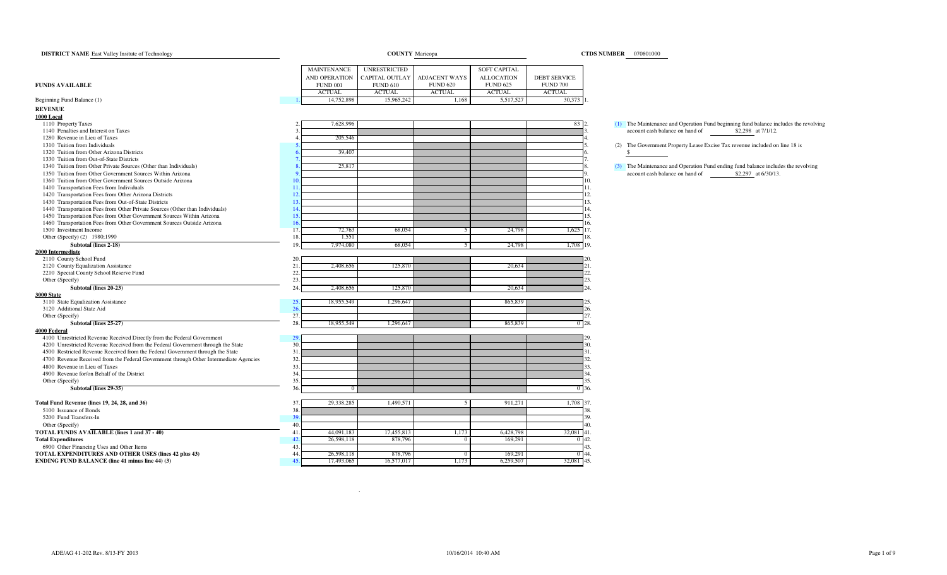| <b>DISTRICT NAME</b> East Valley Insitute of Technology                                                                                                                 | <b>COUNTY Maricopa</b> |                 |                       |                      |                   | CTDS NUMBER   070801000 |                                                                                              |  |  |
|-------------------------------------------------------------------------------------------------------------------------------------------------------------------------|------------------------|-----------------|-----------------------|----------------------|-------------------|-------------------------|----------------------------------------------------------------------------------------------|--|--|
|                                                                                                                                                                         |                        | MAINTENANCE     | UNRESTRICTED          |                      | SOFT CAPITAL      |                         |                                                                                              |  |  |
|                                                                                                                                                                         |                        | AND OPERATION   | <b>CAPITAL OUTLAY</b> | <b>ADJACENT WAYS</b> | <b>ALLOCATION</b> | <b>DEBT SERVICE</b>     |                                                                                              |  |  |
| <b>FUNDS AVAILABLE</b>                                                                                                                                                  |                        | <b>FUND 001</b> | <b>FUND 610</b>       | <b>FUND 620</b>      | <b>FUND 625</b>   | <b>FUND 700</b>         |                                                                                              |  |  |
|                                                                                                                                                                         |                        | <b>ACTUAL</b>   | <b>ACTUAL</b>         | <b>ACTUAL</b>        | <b>ACTUAL</b>     | <b>ACTUAL</b>           |                                                                                              |  |  |
| Beginning Fund Balance (1)                                                                                                                                              |                        | 14,752,898      | 15,965,242            | 1,168                | 5,517,527         | 30,373                  |                                                                                              |  |  |
| <b>REVENUE</b>                                                                                                                                                          |                        |                 |                       |                      |                   |                         |                                                                                              |  |  |
| <b>1000 Local</b>                                                                                                                                                       |                        |                 |                       |                      |                   |                         |                                                                                              |  |  |
| 1110 Property Taxes                                                                                                                                                     |                        | 7,628,996       |                       |                      |                   | 83                      | (1) The Maintenance and Operation Fund beginning fund balance includes the revolving         |  |  |
| 1140 Penalties and Interest on Taxes                                                                                                                                    |                        |                 |                       |                      |                   |                         | account cash balance on hand of<br>\$2,298 at 7/1/12.                                        |  |  |
| 1280 Revenue in Lieu of Taxes                                                                                                                                           |                        | 205,546         |                       |                      |                   |                         |                                                                                              |  |  |
| 1310 Tuition from Individuals<br>1320 Tuition from Other Arizona Districts                                                                                              |                        |                 |                       |                      |                   |                         | (2) The Government Property Lease Excise Tax revenue included on line 18 is<br><sup>\$</sup> |  |  |
| 1330 Tuition from Out-of-State Districts                                                                                                                                |                        | 39,407          |                       |                      |                   |                         |                                                                                              |  |  |
| 1340 Tuition from Other Private Sources (Other than Individuals)                                                                                                        |                        | 25,817          |                       |                      |                   |                         | (3) The Maintenance and Operation Fund ending fund balance includes the revolving            |  |  |
| 1350 Tuition from Other Government Sources Within Arizona                                                                                                               |                        |                 |                       |                      |                   |                         | account cash balance on hand of<br>\$2,297 at 6/30/13.                                       |  |  |
| 1360 Tuition from Other Government Sources Outside Arizona                                                                                                              | 1 <sup>c</sup>         |                 |                       |                      |                   |                         | 10.                                                                                          |  |  |
| 1410 Transportation Fees from Individuals                                                                                                                               | 11                     |                 |                       |                      |                   |                         | 11.                                                                                          |  |  |
| 1420 Transportation Fees from Other Arizona Districts                                                                                                                   | 12                     |                 |                       |                      |                   |                         | 12.                                                                                          |  |  |
| 1430 Transportation Fees from Out-of-State Districts                                                                                                                    | 13                     |                 |                       |                      |                   |                         | 13.                                                                                          |  |  |
| 1440 Transportation Fees from Other Private Sources (Other than Individuals)                                                                                            | 14                     |                 |                       |                      |                   |                         | 14.                                                                                          |  |  |
| 1450 Transportation Fees from Other Government Sources Within Arizona                                                                                                   | 15                     |                 |                       |                      |                   |                         | 15.                                                                                          |  |  |
| 1460 Transportation Fees from Other Government Sources Outside Arizona                                                                                                  | 16                     |                 |                       |                      |                   |                         | 16.                                                                                          |  |  |
| 1500 Investment Income                                                                                                                                                  | 17                     | 72,763          | 68,054                | 5                    | 24,798            | $1,625$ 17.             |                                                                                              |  |  |
| Other (Specify) (2) 1980;1990                                                                                                                                           | 18                     | 1,551           |                       |                      |                   |                         | 18                                                                                           |  |  |
| Subtotal (lines 2-18)                                                                                                                                                   | 19                     | 7,974,080       | 68,054                |                      | 24,798            | 1,708 19.               |                                                                                              |  |  |
| 2000 Intermediate                                                                                                                                                       |                        |                 |                       |                      |                   |                         |                                                                                              |  |  |
| 2110 County School Fund                                                                                                                                                 | 20                     |                 |                       |                      |                   |                         |                                                                                              |  |  |
| 2120 County Equalization Assistance                                                                                                                                     | 21                     | 2,408,656       | 125,870               |                      | 20,634            |                         | 21.                                                                                          |  |  |
| 2210 Special County School Reserve Fund                                                                                                                                 | 22.                    |                 |                       |                      |                   |                         | 22.                                                                                          |  |  |
| Other (Specify)                                                                                                                                                         | 23.                    |                 |                       |                      |                   |                         | 23.                                                                                          |  |  |
| Subtotal (lines 20-23)                                                                                                                                                  | 24.                    | 2,408,656       | 125,870               |                      | 20,634            |                         | 24.                                                                                          |  |  |
| <b>3000 State</b>                                                                                                                                                       |                        |                 |                       |                      |                   |                         |                                                                                              |  |  |
| 3110 State Equalization Assistance                                                                                                                                      | 25                     | 18,955,549      | 1,296,647             |                      | 865,839           |                         |                                                                                              |  |  |
| 3120 Additional State Aid                                                                                                                                               | 26                     |                 |                       |                      |                   |                         | 26.                                                                                          |  |  |
| Other (Specify)                                                                                                                                                         | 27                     |                 |                       |                      |                   |                         | 27.                                                                                          |  |  |
| Subtotal (lines 25-27)                                                                                                                                                  | 28.                    | 18,955,549      | 1,296,647             |                      | 865,839           |                         | $0 - 28.$                                                                                    |  |  |
| <b>4000 Federal</b>                                                                                                                                                     |                        |                 |                       |                      |                   |                         |                                                                                              |  |  |
| 4100 Unrestricted Revenue Received Directly from the Federal Government                                                                                                 | 29<br>30.              |                 |                       |                      |                   |                         |                                                                                              |  |  |
| 4200 Unrestricted Revenue Received from the Federal Government through the State                                                                                        | 31                     |                 |                       |                      |                   |                         | 30.<br>31.                                                                                   |  |  |
| 4500 Restricted Revenue Received from the Federal Government through the State<br>4700 Revenue Received from the Federal Government through Other Intermediate Agencies | 32                     |                 |                       |                      |                   |                         | 32.                                                                                          |  |  |
| 4800 Revenue in Lieu of Taxes                                                                                                                                           | 33                     |                 |                       |                      |                   |                         | 33.                                                                                          |  |  |
| 4900 Revenue for/on Behalf of the District                                                                                                                              | 34.                    |                 |                       |                      |                   |                         | 34.                                                                                          |  |  |
| Other (Specify)                                                                                                                                                         | 35                     |                 |                       |                      |                   |                         | 35.                                                                                          |  |  |
| Subtotal (lines 29-35)                                                                                                                                                  | 36                     |                 |                       |                      |                   |                         | $0 - 36.$                                                                                    |  |  |
|                                                                                                                                                                         |                        |                 |                       |                      |                   |                         |                                                                                              |  |  |
| Total Fund Revenue (lines 19, 24, 28, and 36)                                                                                                                           | 37                     | 29,338,285      | 1,490,571             | 5                    | 911,271           | 1,708 37.               |                                                                                              |  |  |
| 5100 Issuance of Bonds                                                                                                                                                  | 38                     |                 |                       |                      |                   |                         | 38.                                                                                          |  |  |
| 5200 Fund Transfers-In                                                                                                                                                  | 39                     |                 |                       |                      |                   |                         | 39.                                                                                          |  |  |
| Other (Specify)                                                                                                                                                         | 40.                    |                 |                       |                      |                   |                         | 40.                                                                                          |  |  |
| TOTAL FUNDS AVAILABLE (lines 1 and 37 - 40)                                                                                                                             | 41                     | 44,091,183      | 17,455,813            | 1,173                | 6,428,798         | 32,081 41.              |                                                                                              |  |  |
| <b>Total Expenditures</b>                                                                                                                                               | 42                     | 26,598,118      | 878,796               | $\Omega$             | 169,291           |                         | 42.                                                                                          |  |  |
| 6900 Other Financing Uses and Other Items                                                                                                                               | 43                     |                 |                       |                      |                   |                         | 43.                                                                                          |  |  |
| TOTAL EXPENDITURES AND OTHER USES (lines 42 plus 43)                                                                                                                    | 44.                    | 26,598,118      | 878,796               | $\bf{0}$             | 169,291           |                         | $0 - 44.$                                                                                    |  |  |
| <b>ENDING FUND BALANCE (line 41 minus line 44) (3)</b>                                                                                                                  | 45                     | 17,493,065      | 16,577,017            | 1,173                | 6,259,507         | 32,081 45.              |                                                                                              |  |  |

.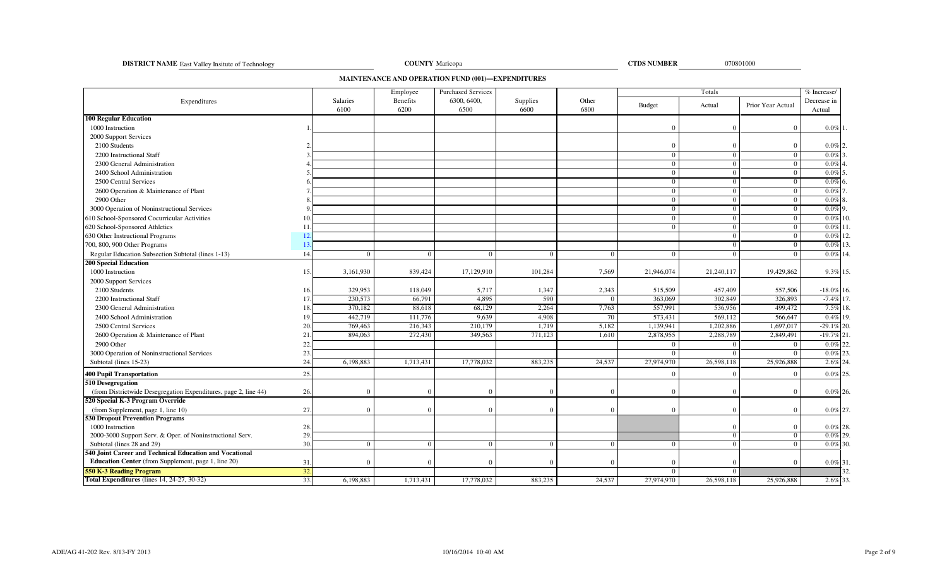**DISTRICT NAME** East Valley Insitute of Technology **COUNTY** 

<sup>070801000</sup> Maricopa

**CTDS NUMBER**

**MAINTENANCE AND OPERATION FUND (001)—EXPENDITURES**

|                                                                              |     |                  | Employee         | <b>Purchased Services</b> |                  |               |                | Totals         |                   | $\sqrt{\%}$ Increase/ |
|------------------------------------------------------------------------------|-----|------------------|------------------|---------------------------|------------------|---------------|----------------|----------------|-------------------|-----------------------|
| Expenditures                                                                 |     | Salaries<br>6100 | Benefits<br>6200 | 6300, 6400,<br>6500       | Supplies<br>6600 | Other<br>6800 | Budget         | Actual         | Prior Year Actual | Decrease in<br>Actual |
| <b>100 Regular Education</b>                                                 |     |                  |                  |                           |                  |               |                |                |                   |                       |
| 1000 Instruction                                                             |     |                  |                  |                           |                  |               | $\Omega$       | $\Omega$       | $\Omega$          | $0.0\%$ 1             |
| 2000 Support Services                                                        |     |                  |                  |                           |                  |               |                |                |                   |                       |
| 2100 Students                                                                |     |                  |                  |                           |                  |               | $\Omega$       | $\Omega$       | $\mathbf{0}$      | $0.0\%$ 2.            |
| 2200 Instructional Staff                                                     |     |                  |                  |                           |                  |               | $\overline{0}$ | $\Omega$       | $\mathbf{0}$      | $0.0\%$               |
| 2300 General Administration                                                  |     |                  |                  |                           |                  |               | $\overline{0}$ | $\Omega$       | $\overline{0}$    | 0.0%                  |
| 2400 School Administration                                                   |     |                  |                  |                           |                  |               | $\mathbf{0}$   | $\mathbf{0}$   | $\overline{0}$    | $0.0\%$ 5             |
| 2500 Central Services                                                        |     |                  |                  |                           |                  |               | $\overline{0}$ | $\Omega$       | $\mathbf{0}$      | $0.0\%$               |
| 2600 Operation & Maintenance of Plant                                        |     |                  |                  |                           |                  |               | $\overline{0}$ | $\overline{0}$ | $\overline{0}$    | $0.0\%$               |
| 2900 Other                                                                   |     |                  |                  |                           |                  |               | $\overline{0}$ | $\mathbf{0}$   | $\overline{0}$    | $0.0\%$ 8             |
| 3000 Operation of Noninstructional Services                                  |     |                  |                  |                           |                  |               | $\mathbf{0}$   | $\Omega$       | $\overline{0}$    | $0.0\%$ 9             |
| 610 School-Sponsored Cocurricular Activities                                 | 10  |                  |                  |                           |                  |               | $\overline{0}$ | $\overline{0}$ | $\mathbf{0}$      | $0.0\%$               |
| 620 School-Sponsored Athletics                                               | 11  |                  |                  |                           |                  |               | $\overline{0}$ | $\overline{0}$ | $\overline{0}$    | $0.0\%$ 11            |
| 630 Other Instructional Programs                                             |     |                  |                  |                           |                  |               |                | $\Omega$       | $\overline{0}$    | $0.0\%$ 12.           |
| 700, 800, 900 Other Programs                                                 | 13  |                  |                  |                           |                  |               |                | $\Omega$       | $\overline{0}$    | $0.0\%$ 13.           |
| Regular Education Subsection Subtotal (lines 1-13)                           | 14  |                  | $\Omega$         | $\sqrt{ }$                | $\Omega$         | $\Omega$      | $\overline{0}$ | $\Omega$       | $\Omega$          | $0.0\%$ 14.           |
| <b>200 Special Education</b>                                                 |     |                  |                  |                           |                  |               |                |                |                   |                       |
| 1000 Instruction                                                             | 15. | 3,161,930        | 839,424          | 17,129,910                | 101,284          | 7,569         | 21,946,074     | 21,240,117     | 19,429,862        | 9.3% 15.              |
| 2000 Support Services                                                        |     |                  |                  |                           |                  |               |                |                |                   |                       |
| 2100 Students                                                                | 16. | 329,953          | 118,049          | 5,717                     | 1,347            | 2,343         | 515,509        | 457,409        | 557,506           | $-18.0\%$ 16.         |
| 2200 Instructional Staff                                                     | 17  | 230,573          | 66,791           | 4,895                     | 590              | $\Omega$      | 363,069        | 302,849        | 326,893           | $-7.4\%$ 17.          |
| 2300 General Administration                                                  |     | 370,182          | 88,618           | 68,129                    | 2,264            | 7,763         | 557.991        | 536,956        | 499,472           | 7.5% 18.              |
| 2400 School Administration                                                   | 19  | 442,719          | 111,776          | 9,639                     | 4,908            | 70            | 573,431        | 569,112        | 566,647           | $0.4\%$ 19.           |
| 2500 Central Services                                                        | 20  | 769,463          | 216,343          | 210,179                   | 1,719            | 5,182         | 1,139,941      | 1,202,886      | 1,697,017         | $-29.1\%$ 20          |
| 2600 Operation & Maintenance of Plant                                        | 21  | 894,063          | 272,430          | 349,563                   | 771,123          | 1,610         | 2,878,955      | 2,288,789      | 2,849,491         | $-19.7\%$ 21          |
| 2900 Other                                                                   | 22  |                  |                  |                           |                  |               | $\Omega$       | $\Omega$       | $\Omega$          | $0.0\%$               |
| 3000 Operation of Noninstructional Services                                  | 23  |                  |                  |                           |                  |               | $\theta$       | $\Omega$       | $\theta$          | 0.0%                  |
| Subtotal (lines 15-23)                                                       | 24  | 6,198,883        | 1,713,431        | 17,778,032                | 883,235          | 24,537        | 27,974,970     | 26,598,118     | 25,926,888        | 2.6% 24               |
| <b>400 Pupil Transportation</b>                                              | 25. |                  |                  |                           |                  |               | $\Omega$       | $\Omega$       | $\Omega$          | $0.0\%$ 25            |
| 510 Desegregation                                                            |     |                  |                  |                           |                  |               |                |                |                   |                       |
| (from Districtwide Desegregation Expenditures, page 2, line 44)              | 26. |                  | $\Omega$         |                           | $\Omega$         | $\Omega$      | $\Omega$       | $\Omega$       | $\overline{0}$    | $0.0\%$ 26.           |
| 520 Special K-3 Program Override                                             |     |                  |                  |                           |                  |               |                |                |                   |                       |
|                                                                              | 27. |                  | $\Omega$         |                           | $\Omega$         | $\Omega$      | $\Omega$       | $\Omega$       | $\Omega$          | $0.0\%$ 27.           |
| (from Supplement, page 1, line 10)<br><b>530 Dropout Prevention Programs</b> |     |                  |                  |                           |                  |               |                |                |                   |                       |
| 1000 Instruction                                                             | 28. |                  |                  |                           |                  |               |                | $\Omega$       | $\mathbf{0}$      | $0.0\%$ 28.           |
| 2000-3000 Support Serv. & Oper. of Noninstructional Serv.                    | 29. |                  |                  |                           |                  |               |                | $\mathbf{0}$   | $\mathbf{0}$      | $0.0\%$ 29.           |
| Subtotal (lines 28 and 29)                                                   | 30  | $\Omega$         | $\Omega$         | $\Omega$                  | $\Omega$         | $\Omega$      | $\mathbf{0}$   | $\overline{0}$ | $\overline{0}$    | $0.0\%$ 30.           |
| 540 Joint Career and Technical Education and Vocational                      |     |                  |                  |                           |                  |               |                |                |                   |                       |
| <b>Education Center</b> (from Supplement, page 1, line 20)                   | 31  |                  | $\Omega$         |                           | $\Omega$         | $\Omega$      | $\Omega$       | $\Omega$       | $\Omega$          | $0.0\%$ 31.           |
| <b>550 K-3 Reading Program</b>                                               | 32. |                  |                  |                           |                  |               | $\mathbf{0}$   | $\Omega$       |                   | 32                    |
| Total Expenditures (lines 14, 24-27, 30-32)                                  | 33. | 6,198,883        | 1,713,431        | 17,778,032                | 883,235          | 24,537        | 27,974,970     | 26,598,118     | 25,926,888        | 2.6% 33.              |
|                                                                              |     |                  |                  |                           |                  |               |                |                |                   |                       |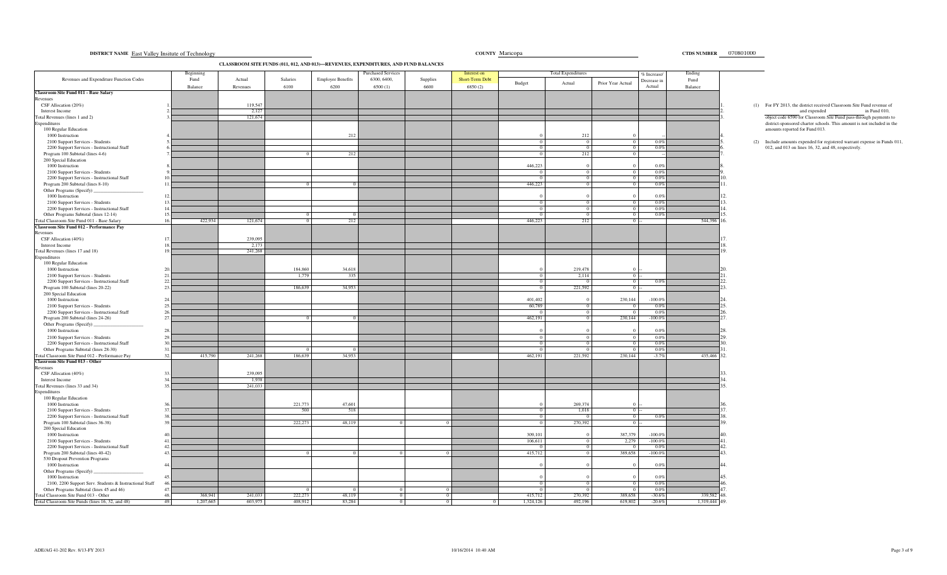|                                                                                    | Beginning   |                      |          |                          | Purchased Services |          | Interest on     |           | <b>Total Expenditures</b> |                   | % Increase/       | Ending        |            |                                                                                                       |
|------------------------------------------------------------------------------------|-------------|----------------------|----------|--------------------------|--------------------|----------|-----------------|-----------|---------------------------|-------------------|-------------------|---------------|------------|-------------------------------------------------------------------------------------------------------|
| Revenues and Expenditure Function Codes                                            | Fund        | Actual               | Salaries | <b>Employee Benefits</b> | 6300, 6400,        | Supplies | Short-Term Debt | Budget    | Actual                    | Prior Year Actual | Decrease in       | Fund          |            |                                                                                                       |
| Classroom Site Fund 011 - Base Salary                                              | Balance     | Revenues             | 6100     | 6200                     | 6500(1)            | 6600     | 6850(2)         |           |                           |                   | Actual            | Balance       |            |                                                                                                       |
| Revenues                                                                           |             |                      |          |                          |                    |          |                 |           |                           |                   |                   |               |            |                                                                                                       |
| CSF Allocation (20%)<br>Interest Income                                            |             | 119,547<br>2,127     |          |                          |                    |          |                 |           |                           |                   |                   |               |            | (1) For FY 2013, the district received Classroom Site Fund revenue of<br>and expended<br>in Fund 010, |
| Total Revenues (lines 1 and 2)                                                     |             | 121,674              |          |                          |                    |          |                 |           |                           |                   |                   |               |            | object code 6590 for Classroom Site Fund pass-through payments to                                     |
| Expenditures                                                                       |             |                      |          |                          |                    |          |                 |           |                           |                   |                   |               |            | district-sponsored charter schools. This amount is not included in the                                |
| 100 Regular Education                                                              |             |                      |          |                          |                    |          |                 |           |                           |                   |                   |               |            | amounts reported for Fund 013.                                                                        |
| 1000 Instruction<br>2100 Support Services - Students                               |             |                      |          | 212                      |                    |          |                 |           | 212<br>$\Omega$           | $\overline{0}$    | 0.09              |               |            | (2) Include amounts expended for registered warrant expense in Funds 0.                               |
| 2200 Support Services - Instructional Staff                                        |             |                      |          |                          |                    |          |                 |           | $\Omega$                  | $\overline{0}$    | 0.0%              |               |            | 012, and 013 on lines 16, 32, and 48, respectively.                                                   |
| Program 100 Subtotal (lines 4-6)                                                   |             |                      |          | 212                      |                    |          |                 |           | 212                       | $\overline{0}$    |                   |               |            |                                                                                                       |
| 200 Special Education                                                              |             |                      |          |                          |                    |          |                 |           |                           |                   |                   |               |            |                                                                                                       |
| 1000 Instruction<br>2100 Support Services - Students                               |             |                      |          |                          |                    |          |                 | 446,223   |                           |                   | 0.0%<br>0.09      |               |            |                                                                                                       |
| 2200 Support Services - Instructional Staff                                        |             |                      |          |                          |                    |          |                 |           |                           |                   | 0.09              |               |            |                                                                                                       |
| Program 200 Subtotal (lines 8-10)                                                  |             |                      |          |                          |                    |          |                 | 446,223   |                           |                   | 0.0%              |               |            |                                                                                                       |
| Other Programs (Specify)                                                           |             |                      |          |                          |                    |          |                 |           |                           |                   |                   |               |            |                                                                                                       |
| 1000 Instruction                                                                   |             |                      |          |                          |                    |          |                 |           | $\Omega$                  | $\Omega$          | 0.0%<br>0.0%      |               |            |                                                                                                       |
| 2100 Support Services - Students<br>2200 Support Services - Instructional Staff    | 14          |                      |          |                          |                    |          |                 |           | $\overline{0}$            | $\overline{0}$    | 0.0%              |               |            |                                                                                                       |
| Other Programs Subtotal (lines 12-14)                                              | 15          |                      |          |                          |                    |          |                 |           |                           |                   | 0.09              |               |            |                                                                                                       |
| Fotal Classroom Site Fund 011 - Base Salary                                        | 16.         | 422,934<br>121,674   |          | 212                      |                    |          |                 | 446,223   | 212                       | $\Omega$          |                   | 544,396       | 16         |                                                                                                       |
| Classroom Site Fund 012 - Performance Pay                                          |             |                      |          |                          |                    |          |                 |           |                           |                   |                   |               |            |                                                                                                       |
| Revenues<br>CSF Allocation (40%)                                                   | 17          | 239,095              |          |                          |                    |          |                 |           |                           |                   |                   |               |            |                                                                                                       |
| Interest Income                                                                    |             | 2,173                |          |                          |                    |          |                 |           |                           |                   |                   |               |            |                                                                                                       |
| Total Revenues (lines 17 and 18)                                                   |             | 241,268              |          |                          |                    |          |                 |           |                           |                   |                   |               |            |                                                                                                       |
| Expenditures                                                                       |             |                      |          |                          |                    |          |                 |           |                           |                   |                   |               |            |                                                                                                       |
| 100 Regular Education<br>1000 Instruction                                          |             |                      | 184,860  | 34,618                   |                    |          |                 |           | 219,478                   |                   |                   |               |            |                                                                                                       |
| 2100 Support Services - Students                                                   | 21          |                      | 1.779    | 335                      |                    |          |                 |           | 2,114                     |                   | $0 -$             |               |            |                                                                                                       |
| 2200 Support Services - Instructional Staff                                        |             |                      |          |                          |                    |          |                 |           |                           | $\overline{0}$    | $0.0^{\circ}$     |               |            |                                                                                                       |
| Program 100 Subtotal (lines 20-22)                                                 | 23          |                      | 186,639  | 34,953                   |                    |          |                 |           | 221,592                   | $0 -$             |                   |               | 23         |                                                                                                       |
| 200 Special Education<br>1000 Instruction                                          |             |                      |          |                          |                    |          |                 | 401,402   |                           | 230,144           | $-100.0%$         |               |            |                                                                                                       |
| 2100 Support Services - Students                                                   |             |                      |          |                          |                    |          |                 | 60,789    |                           |                   | 0.09              |               | 25         |                                                                                                       |
| 2200 Support Services - Instructional Staff                                        |             |                      |          |                          |                    |          |                 |           | $^{\circ}$                | $\overline{0}$    | 0.0%              |               | 26         |                                                                                                       |
| Program 200 Subtotal (lines 24-26)                                                 |             |                      |          | $^{\circ}$               |                    |          |                 | 462,191   | $\Omega$                  | 230,144           | $-100.0\%$        |               | 27         |                                                                                                       |
| Other Programs (Specify)<br>1000 Instruction                                       |             |                      |          |                          |                    |          |                 |           |                           |                   | 0.0%              |               |            |                                                                                                       |
| 2100 Support Services - Students                                                   |             |                      |          |                          |                    |          |                 |           | $^{\circ}$                |                   | 0.0%              |               |            |                                                                                                       |
| 2200 Support Services - Instructional Staff                                        |             |                      |          |                          |                    |          |                 |           | $\overline{0}$            | $\Omega$          | 0.0%              |               | ٦Λ         |                                                                                                       |
| Other Programs Subtotal (lines 28-30)                                              |             |                      |          |                          |                    |          |                 |           | $^{\circ}$                | $\Omega$          | 0.0%              |               |            |                                                                                                       |
| Total Classroom Site Fund 012 - Performance Pay<br>Classroom Site Fund 013 - Other | 32.         | 241,268<br>415,790   | 186,639  | 34,953                   |                    |          |                 | 462,191   | 221,592                   | 230,144           | $-3.79$           | 435,466 32.   |            |                                                                                                       |
| Revenues                                                                           |             |                      |          |                          |                    |          |                 |           |                           |                   |                   |               |            |                                                                                                       |
| CSF Allocation (40%)                                                               |             | 239,095              |          |                          |                    |          |                 |           |                           |                   |                   |               |            |                                                                                                       |
| Interest Income                                                                    |             | 1,938                |          |                          |                    |          |                 |           |                           |                   |                   |               | 34         |                                                                                                       |
| Total Revenues (lines 33 and 34)<br>Expenditures                                   |             | 241,033              |          |                          |                    |          |                 |           |                           |                   |                   |               | 35         |                                                                                                       |
| 100 Regular Education                                                              |             |                      |          |                          |                    |          |                 |           |                           |                   |                   |               |            |                                                                                                       |
| 1000 Instruction                                                                   |             |                      | 221,773  | 47,601                   |                    |          |                 |           | 269,374                   |                   |                   |               |            |                                                                                                       |
| 2100 Support Services - Students                                                   |             |                      | 500      | 518                      |                    |          |                 |           | 1,018                     |                   | $0 -$             |               |            |                                                                                                       |
| 2200 Support Services - Instructional Staff<br>Program 100 Subtotal (lines 36-38)  |             |                      | 222,273  | 48,119                   |                    |          |                 |           | 270,392                   | $\Omega$          | 0.09<br>$0 -$     |               |            |                                                                                                       |
| 200 Special Education                                                              |             |                      |          |                          |                    |          |                 |           |                           |                   |                   |               |            |                                                                                                       |
| 1000 Instruction                                                                   |             |                      |          |                          |                    |          |                 | 309,101   |                           | 387,379           | $-100.0%$         |               |            |                                                                                                       |
| 2100 Support Services - Students                                                   |             |                      |          |                          |                    |          |                 | 106,611   |                           | 2,279             | $-100.09$         |               | 41         |                                                                                                       |
| 2200 Support Services - Instructional Staff<br>Program 200 Subtotal (lines 40-42)  |             |                      |          | $\Omega$                 |                    |          |                 | 415,712   |                           | 389,658           | 0.09<br>$-100.0%$ |               | 42.<br>43. |                                                                                                       |
| 530 Dropout Prevention Programs                                                    |             |                      |          |                          |                    |          |                 |           |                           |                   |                   |               |            |                                                                                                       |
| 1000 Instruction                                                                   | 44.         |                      |          |                          |                    |          |                 |           |                           |                   | 0.0%              |               |            |                                                                                                       |
| Other Programs (Specify)                                                           |             |                      |          |                          |                    |          |                 |           |                           |                   |                   |               |            |                                                                                                       |
| 1000 Instruction<br>2100, 2200 Support Serv. Students & Instructional Staff        | $\Lambda$ 5 |                      |          |                          |                    |          |                 |           |                           |                   | 0.0%<br>0.09      |               |            |                                                                                                       |
| Other Programs Subtotal (lines 45 and 46)                                          |             |                      |          | $\overline{0}$           | $\overline{0}$     |          |                 |           |                           |                   | 0.0%              |               |            |                                                                                                       |
| Total Classroom Site Fund 013 - Other                                              | 48.         | 368,941<br>241,033   | 222,273  | 48.119                   | $\Omega$           | $\Omega$ |                 | 415,712   | 270.392                   | 389,658           | $-30.6%$          | 339,582       | 48         |                                                                                                       |
| Total Classroom Site Funds (lines 16, 32, and 48)                                  | 49.         | 1,207,665<br>603,975 | 408,912  | 83,284                   | $\overline{0}$     | $\Omega$ |                 | 1,324,126 | 492,196                   | 619,802           | $-20.6%$          | 1,319,444 49. |            |                                                                                                       |

**DISTRICT NAME COUNTY CTDS NUMBER** East Valley Insitute of Technology

**CLASSROOM SITE FUNDS (011, 012, AND 013)—REVENUES, EXPENDITURES, AND FUND BALANCES**

CTDS NUMBER 070801000 y country Maricopa country Maricopa country country and the country of the country of the country of the country of the country of the country of the country of the country of the country of the country of the country of t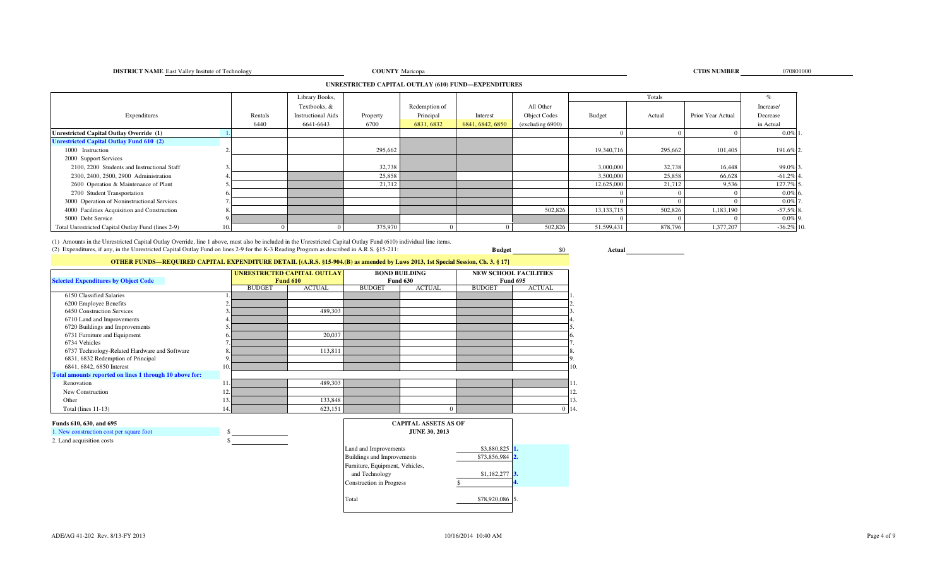**DISTRICT NAME** East Valley Insitute of Technology **COUNTY** 

#### **CTDS NUMBER**<br> **CTDS NUMBER** COUNTY Maricopa

#### **UNRESTRICTED CAPITAL OUTLAY (610) FUND—EXPENDITURES**

|                                                    |         | Library Books,            |          |               |                  |                  |              | Totals  |                   |               |
|----------------------------------------------------|---------|---------------------------|----------|---------------|------------------|------------------|--------------|---------|-------------------|---------------|
|                                                    |         | Textbooks, &              |          | Redemption of |                  | All Other        |              |         |                   | Increase/     |
| Expenditures                                       | Rentals | <b>Instructional Aids</b> | Property | Principal     | Interest         | Object Codes     | Budget       | Actual  | Prior Year Actual | Decrease      |
|                                                    | 6440    | 6641-6643                 | 6700     | 6831, 6832    | 6841, 6842, 6850 | (excluding 6900) |              |         |                   | in Actual     |
| Unrestricted Capital Outlay Override (1)           |         |                           |          |               |                  |                  |              |         |                   | $0.0\%$ 1     |
| <b>Unrestricted Capital Outlay Fund 610 (2)</b>    |         |                           |          |               |                  |                  |              |         |                   |               |
| 1000 Instruction                                   |         |                           | 295,662  |               |                  |                  | 19,340,716   | 295,662 | 101,405           | 191.6% 2      |
| 2000 Support Services                              |         |                           |          |               |                  |                  |              |         |                   |               |
| 2100, 2200 Students and Instructional Staff        |         |                           | 32,738   |               |                  |                  | 3,000,000    | 32,738  | 16,448            | 99.0% 3       |
| 2300, 2400, 2500, 2900 Administration              |         |                           | 25,858   |               |                  |                  | 3,500,000    | 25,858  | 66,628            | $-61.2\%$     |
| 2600 Operation & Maintenance of Plant              |         |                           | 21,712   |               |                  |                  | 12,625,000   | 21,712  | 9,536             | 127.7% 5      |
| 2700 Student Transportation                        |         |                           |          |               |                  |                  |              |         |                   | $0.0\%$ 6     |
| 3000 Operation of Noninstructional Services        |         |                           |          |               |                  |                  |              |         |                   | $0.0\%$       |
| 4000 Facilities Acquisition and Construction       |         |                           |          |               |                  | 502,826          | 13, 133, 715 | 502,826 | 1,183,190         | $-57.5\%$ 8.  |
| 5000 Debt Service                                  |         |                           |          |               |                  |                  |              |         |                   | $0.0\%$ 9.    |
| Total Unrestricted Capital Outlay Fund (lines 2-9) |         |                           | 375,970  |               |                  | 502,826          | 51,599,431   | 878,796 | 1,377,207         | $-36.2\%$ 10. |

(1) Amounts in the Unrestricted Capital Outlay Override, line 1 above, must also be included in the Unrestricted Capital Outlay Fund (610) individual line items. (2) Expenditures, if any, in the Unrestricted Capital Outlay Fund on lines 2-9 for the K-3 Reading Program as described in A.R.S. §15-211:

**Actual**

\$0

# **OTHER FUNDS—REQUIRED CAPITAL EXPENDITURE DETAIL [(A.R.S. §15-904.(B) as amended by Laws 2013, 1st Special Session, Ch. 3, § 17]**

| <b>Selected Expenditures by Object Code</b>             |     |               | <b>UNRESTRICTED CAPITAL OUTLAY</b><br><b>Fund 610</b> |               | <b>BOND BUILDING</b><br><b>Fund 630</b> | <b>NEW SCHOOL FACILITIES</b><br><b>Fund 695</b> |               |           |
|---------------------------------------------------------|-----|---------------|-------------------------------------------------------|---------------|-----------------------------------------|-------------------------------------------------|---------------|-----------|
|                                                         |     | <b>BUDGET</b> | <b>ACTUAL</b>                                         | <b>BUDGET</b> | <b>ACTUAL</b>                           | <b>BUDGET</b>                                   | <b>ACTUAL</b> |           |
| 6150 Classified Salaries                                |     |               |                                                       |               |                                         |                                                 |               |           |
| 6200 Employee Benefits                                  |     |               |                                                       |               |                                         |                                                 |               |           |
| 6450 Construction Services                              |     |               | 489,303                                               |               |                                         |                                                 |               |           |
| 6710 Land and Improvements                              |     |               |                                                       |               |                                         |                                                 |               |           |
| 6720 Buildings and Improvements                         |     |               |                                                       |               |                                         |                                                 |               |           |
| 6731 Furniture and Equipment                            | n.  |               | 20,037                                                |               |                                         |                                                 |               |           |
| 6734 Vehicles                                           |     |               |                                                       |               |                                         |                                                 |               |           |
| 6737 Technology-Related Hardware and Software           |     |               | 113,811                                               |               |                                         |                                                 |               |           |
| 6831, 6832 Redemption of Principal                      | 9.  |               |                                                       |               |                                         |                                                 |               | У.        |
| 6841, 6842, 6850 Interest                               | 10. |               |                                                       |               |                                         |                                                 |               | 10        |
| Total amounts reported on lines 1 through 10 above for: |     |               |                                                       |               |                                         |                                                 |               |           |
| Renovation                                              |     |               | 489,303                                               |               |                                         |                                                 |               |           |
| New Construction                                        | 12  |               |                                                       |               |                                         |                                                 |               | 12        |
| Other                                                   |     |               | 133,848                                               |               |                                         |                                                 |               | 13        |
| Total (lines $11-13$ )                                  | 14. |               | 623,151                                               |               |                                         |                                                 |               | $0 \; 14$ |

#### **Funds 610, 630, and 695**

 1. New construction cost per square foot $2. L<sub>a</sub>$ 

| New construction cost per square foot |  |
|---------------------------------------|--|
| Land acquisition costs                |  |

| <b>CAPITAL ASSETS AS OF</b><br><b>JUNE 30, 2013</b> |              |                         |
|-----------------------------------------------------|--------------|-------------------------|
| Land and Improvements                               | \$3,880,825  | 11.                     |
| <b>Buildings and Improvements</b>                   | \$73,856,984 | $\overline{\mathbf{2}}$ |
| Furniture, Equipment, Vehicles,                     |              |                         |
| and Technology                                      | \$1,182,277  | $\mathbf{3}$ .          |
| <b>Construction</b> in Progress                     |              | 4.                      |
| Total                                               | \$78,920,086 | 15.                     |

**Budget**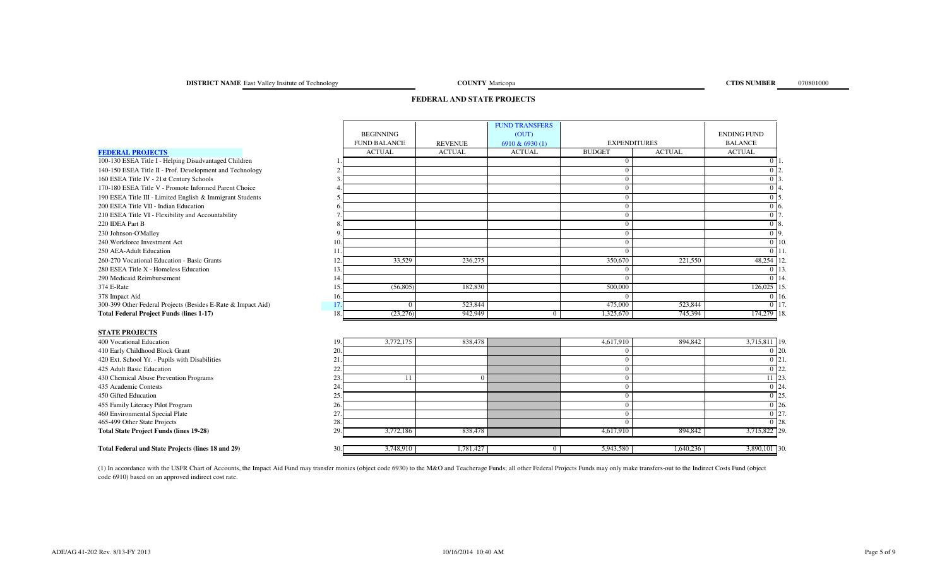# **DISTRICT NAME** East Valley Insitute of Technology **COUNTY**

**COUNTY** Maricopa

# **FEDERAL AND STATE PROJECTS**

|                                                              |     |                     |                | <b>FUND TRANSFERS</b> |                     |               |                    |                   |
|--------------------------------------------------------------|-----|---------------------|----------------|-----------------------|---------------------|---------------|--------------------|-------------------|
|                                                              |     | <b>BEGINNING</b>    |                | (OUT)                 |                     |               | <b>ENDING FUND</b> |                   |
|                                                              |     | <b>FUND BALANCE</b> | <b>REVENUE</b> | 6910 & 6930 (1)       | <b>EXPENDITURES</b> |               | <b>BALANCE</b>     |                   |
| <b>FEDERAL PROJECTS</b>                                      |     | <b>ACTUAL</b>       | <b>ACTUAL</b>  | <b>ACTUAL</b>         | <b>BUDGET</b>       | <b>ACTUAL</b> | <b>ACTUAL</b>      |                   |
| 100-130 ESEA Title I - Helping Disadvantaged Children        |     |                     |                |                       | $\mathbf{0}$        |               | 0 11               |                   |
| 140-150 ESEA Title II - Prof. Development and Technology     |     |                     |                |                       | $\theta$            |               | 0 <sub>12</sub>    |                   |
| 160 ESEA Title IV - 21st Century Schools                     |     |                     |                |                       | $\mathbf{0}$        |               | 0 <sup>13</sup>    |                   |
| 170-180 ESEA Title V - Promote Informed Parent Choice        |     |                     |                |                       | $\mathbf{0}$        |               |                    | $0\vert 4$        |
| 190 ESEA Title III - Limited English & Immigrant Students    |     |                     |                |                       | $\mathbf{0}$        |               |                    | $0\,$ 5.          |
| 200 ESEA Title VII - Indian Education                        |     |                     |                |                       | $\mathbf{0}$        |               |                    | $0\,$ 6           |
| 210 ESEA Title VI - Flexibility and Accountability           |     |                     |                |                       | $\mathbf{0}$        |               | $0\vert 7$         |                   |
| 220 IDEA Part B                                              |     |                     |                |                       | $\mathbf{0}$        |               |                    | 0 <sub>8</sub>    |
| 230 Johnson-O'Malley                                         |     |                     |                |                       | $\boldsymbol{0}$    |               |                    | $0\vert 9$        |
| 240 Workforce Investment Act                                 | 10. |                     |                |                       | $\boldsymbol{0}$    |               |                    | $0 \vert 10$      |
| 250 AEA-Adult Education                                      | 11. |                     |                |                       | $\mathbf{0}$        |               |                    | $0\vert11$        |
| 260-270 Vocational Education - Basic Grants                  | 12. | 33,529              | 236,275        |                       | 350,670             | 221,550       | 48,254 12          |                   |
| 280 ESEA Title X - Homeless Education                        | 13. |                     |                |                       | $\overline{0}$      |               |                    | 0.113             |
| 290 Medicaid Reimbursement                                   | 14. |                     |                |                       | $\theta$            |               |                    | 0 1 1 4           |
| 374 E-Rate                                                   | 15. | (56, 805)           | 182,830        |                       | 500,000             |               | 126,025 15         |                   |
| 378 Impact Aid                                               | 16. |                     |                |                       | $\Omega$            |               |                    | 0.16              |
| 300-399 Other Federal Projects (Besides E-Rate & Impact Aid) | 17. | $\Omega$            | 523,844        |                       | 475,000             | 523,844       |                    | $\overline{0}$ 17 |
| <b>Total Federal Project Funds (lines 1-17)</b>              | 18. | (23, 276)           | 942,949        | $\Omega$              | 1,325,670           | 745,394       | 174,279 18.        |                   |
|                                                              |     |                     |                |                       |                     |               |                    |                   |
| <b>STATE PROJECTS</b>                                        |     |                     |                |                       |                     |               |                    |                   |
| 400 Vocational Education                                     | 19. | 3,772,175           | 838,478        |                       | 4,617,910           | 894,842       | 3,715,811 19.      |                   |
| 410 Early Childhood Block Grant                              | 20. |                     |                |                       | $\mathbf{0}$        |               |                    | $0\vert 20$       |
| 420 Ext. School Yr. - Pupils with Disabilities               | 21  |                     |                |                       | $\mathbf{0}$        |               |                    | $0\vert 21$       |
| 425 Adult Basic Education                                    | 22  |                     |                |                       | $\mathbf{0}$        |               |                    | $0\,22$           |
| 430 Chemical Abuse Prevention Programs                       | 23. | 11                  | $\Omega$       |                       | $\mathbf{0}$        |               |                    | $11\overline{23}$ |
| 435 Academic Contests                                        | 24  |                     |                |                       | $\mathbf{0}$        |               |                    | $0\overline{24}$  |
| 450 Gifted Education                                         | 25. |                     |                |                       | $\mathbf{0}$        |               |                    | $0\,125$          |
| 455 Family Literacy Pilot Program                            | 26. |                     |                |                       | $\mathbf{0}$        |               |                    | $0\,26$           |
| 460 Environmental Special Plate                              | 27  |                     |                |                       | $\mathbf{0}$        |               |                    | $0\vert 27$       |
| 465-499 Other State Projects                                 | 28. |                     |                |                       | $\Omega$            |               |                    | 0 <sup>28</sup>   |
| <b>Total State Project Funds (lines 19-28)</b>               | 29. | 3,772,186           | 838,478        |                       | 4,617,910           | 894,842       | 3,715,822 29.      |                   |
| Total Federal and State Projects (lines 18 and 29)           | 30. | 3,748,910           | 1,781,427      | $\overline{0}$        | 5,943,580           | 1,640,236     | 3,890,101 30.      |                   |
|                                                              |     |                     |                |                       |                     |               |                    |                   |

(1) In accordance with the USFR Chart of Accounts, the Impact Aid Fund may transfer monies (object code 6930) to the M&O and Teacherage Funds; all other Federal Projects Funds may only make transfers-out to the Indirect Co code 6910) based on an approved indirect cost rate.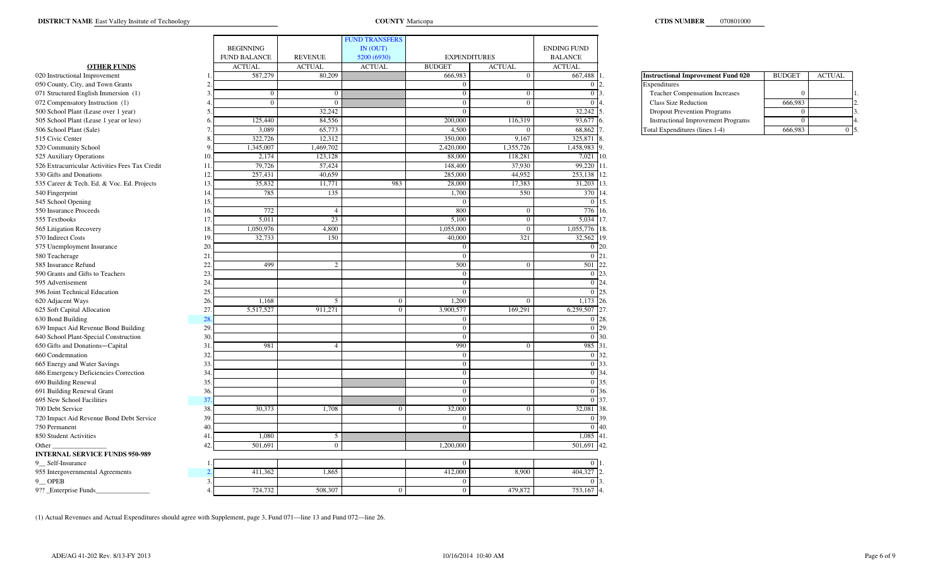COUNTY Maricopa

|                                                |                |                     |                | <b>FUND TRANSFERS</b> |                     |                |                    |                                           |               |               |
|------------------------------------------------|----------------|---------------------|----------------|-----------------------|---------------------|----------------|--------------------|-------------------------------------------|---------------|---------------|
|                                                |                | <b>BEGINNING</b>    |                | IN (OUT)              |                     |                | <b>ENDING FUND</b> |                                           |               |               |
|                                                |                | <b>FUND BALANCE</b> | <b>REVENUE</b> | 5200 (6930)           | <b>EXPENDITURES</b> |                | <b>BALANCE</b>     |                                           |               |               |
| <b>OTHER FUNDS</b>                             |                | <b>ACTUAL</b>       | <b>ACTUAL</b>  | <b>ACTUAL</b>         | <b>BUDGET</b>       | <b>ACTUAL</b>  | <b>ACTUAL</b>      |                                           |               |               |
| 020 Instructional Improvement                  |                | 587,279             | 80,209         |                       | 666,983             | $\overline{0}$ | 667,488            | <b>Instructional Improvement Fund 020</b> | <b>BUDGET</b> | <b>ACTUAL</b> |
| 050 County, City, and Town Grants              |                |                     |                |                       | $\mathbf{0}$        |                | -0-L2              | Expenditures                              |               |               |
| 071 Structured English Immersion (1)           |                | $\overline{0}$      | $\Omega$       |                       | $\bf{0}$            | $\overline{0}$ | 0 <sup>13</sup>    | <b>Teacher Compensation Increases</b>     |               |               |
| 072 Compensatory Instruction (1)               |                | $\Omega$            | $\Omega$       |                       | $\overline{0}$      | $\Omega$       | $\overline{0}$     | Class Size Reduction                      | 666,983       |               |
| 500 School Plant (Lease over 1 year)           |                |                     | 32,242         |                       | $\Omega$            |                | 32,242             | <b>Dropout Prevention Programs</b>        |               |               |
| 505 School Plant (Lease 1 year or less)        |                | 125,440             | 84,556         |                       | 200,000             | 116,319        | 93,677             | <b>Instructional Improvement Programs</b> |               |               |
| 506 School Plant (Sale)                        |                | 3,089               | 65,773         |                       | 4,500               |                | 68,862             | Total Expenditures (lines 1-4)            | 666,983       |               |
| 515 Civic Center                               |                | 322,726             | 12,312         |                       | 350,000             | 9,167          | 325,871            |                                           |               |               |
| 520 Community School                           |                | 1,345,007           | 1,469,702      |                       | 2,420,000           | 1,355,726      | 1,458,983          |                                           |               |               |
| 525 Auxiliary Operations                       | 10             | 2,174               | 123,128        |                       | 88,000              | 118,281        | 7,021              | 10.                                       |               |               |
| 526 Extracurricular Activities Fees Tax Credit | <sup>11</sup>  | 79,726              | 57,424         |                       | 148,400             | 37,930         | 99,220 11.         |                                           |               |               |
| 530 Gifts and Donations                        | 12             | 257,431             | 40,659         |                       | 285,000             | 44,952         | 253,138            |                                           |               |               |
| 535 Career & Tech. Ed. & Voc. Ed. Projects     | 13             | 35,832              | 11,771         | 983                   | 28,000              | 17,383         | 31,203 13.         |                                           |               |               |
| 540 Fingerprint                                | $\mathbf{1}$   | 785                 | 135            |                       | 1,700               | 550            | 370                |                                           |               |               |
| 545 School Opening                             | 15             |                     |                |                       | $\Omega$            |                | $0 \; 15$          |                                           |               |               |
| 550 Insurance Proceeds                         | 16             | 772                 | $\overline{4}$ |                       | 800                 | $\overline{0}$ | 776                |                                           |               |               |
| 555 Textbooks                                  | -11            | 5,011               | 23             |                       | 5,100               | $\overline{0}$ | 5,034 17.          |                                           |               |               |
| 565 Litigation Recovery                        |                | 1,050,976           | 4,800          |                       | 1,055,000           | $\Omega$       | 1,055,776          |                                           |               |               |
| 570 Indirect Costs                             | 19             | 32,733              | 150            |                       | 40,000              | 321            | 32,562             | 19                                        |               |               |
| 575 Unemployment Insurance                     | 20             |                     |                |                       | $\Omega$            |                | $0\,120.$          |                                           |               |               |
| 580 Teacherage                                 | 21             |                     |                |                       | $\Omega$            |                | 0 <sup>21</sup>    |                                           |               |               |
| 585 Insurance Refund                           | 22             | 499                 | $\overline{2}$ |                       | 500                 |                | 501 22             |                                           |               |               |
| 590 Grants and Gifts to Teachers               | 23             |                     |                |                       | $\Omega$            |                | $\overline{0}$     | 23                                        |               |               |
| 595 Advertisement                              | 24             |                     |                |                       | $\overline{0}$      |                | $\Omega$           | 24                                        |               |               |
| 596 Joint Technical Education                  | 25             |                     |                |                       | $\bf{0}$            |                | $\theta$           | 25.                                       |               |               |
| 620 Adjacent Ways                              | 26             | 1,168               | 5              | $\overline{0}$        | 1,200               | $\Omega$       | 1,173 26.          |                                           |               |               |
| 625 Soft Capital Allocation                    | 27             | 5,517,527           | 911,271        | $\Omega$              | 3,900,577           | 169,291        | 6,259,507          |                                           |               |               |
| 630 Bond Building                              | $\overline{2}$ |                     |                |                       | $\mathbf{0}$        |                | $\overline{0}$     | 28.                                       |               |               |
| 639 Impact Aid Revenue Bond Building           | 29.            |                     |                |                       | $\overline{0}$      |                | 0 29               |                                           |               |               |
| 640 School Plant-Special Construction          | 30             |                     |                |                       | $\mathbf{0}$        |                | 0 30.              |                                           |               |               |
| 650 Gifts and Donations-Capital                | 31             | 981                 | $\overline{4}$ |                       | 990                 | $\Omega$       | 985 31             |                                           |               |               |
| 660 Condemnation                               | 32             |                     |                |                       | $\bf{0}$            |                | 0 32.              |                                           |               |               |
| 665 Energy and Water Savings                   | 3 <sup>3</sup> |                     |                |                       | $\bf{0}$            |                | 0 33.              |                                           |               |               |
| 686 Emergency Deficiencies Correction          | 34             |                     |                |                       | $\mathbf{0}$        |                | 0 34               |                                           |               |               |
| 690 Building Renewal                           | 35             |                     |                |                       | $\Omega$            |                | 0.35               |                                           |               |               |
| 691 Building Renewal Grant                     | 36             |                     |                |                       | $\Omega$            |                | 0 36.              |                                           |               |               |
| 695 New School Facilities                      | $\mathbf{3}'$  |                     |                |                       | $\Omega$            |                | $\Omega$           | 37                                        |               |               |
| 700 Debt Service                               | 38             | 30,373              | 1,708          | $\Omega$              | 32,000              |                | 32,081             |                                           |               |               |
| 720 Impact Aid Revenue Bond Debt Service       | 39             |                     |                |                       | $\Omega$            |                | $\Omega$           | 30                                        |               |               |
| 750 Permanent                                  | 40             |                     |                |                       | $\mathbf{0}$        |                | $\overline{0}$     | 40                                        |               |               |
| 850 Student Activities                         | 41             | 1,080               | 5              |                       |                     |                | $1,085$ 41.        |                                           |               |               |
| Other                                          | 41             | 501,691             | $\overline{0}$ |                       | 1,200,000           |                | 501,691            | 42.                                       |               |               |
| <b>INTERNAL SERVICE FUNDS 950-989</b>          |                |                     |                |                       |                     |                |                    |                                           |               |               |
| 9 Self-Insurance                               |                |                     |                |                       | $\Omega$            |                | 0 <sup>11</sup>    |                                           |               |               |
| 955 Intergovernmental Agreements               |                | 411,362             | 1,865          |                       | 412,000             | 8,900          | 404,327            |                                           |               |               |
| 9 OPEB                                         |                |                     |                |                       | $\bf{0}$            |                | $^{\circ}$         |                                           |               |               |
|                                                |                | 724,732             | 508,307        |                       | $\overline{0}$      | 479,872        | 753,167 4.         |                                           |               |               |
| 9?? _Enterprise Funds_                         |                |                     |                | $\overline{0}$        |                     |                |                    |                                           |               |               |

| <b>Instructional Improvement Fund 020</b> | <b>BUDGET</b> | <b>ACTUAL</b> |                |
|-------------------------------------------|---------------|---------------|----------------|
| Expenditures                              |               |               |                |
| <b>Teacher Compensation Increases</b>     |               |               | 1              |
| <b>Class Size Reduction</b>               | 666,983       |               | 2.             |
| <b>Dropout Prevention Programs</b>        |               |               | 3.             |
| <b>Instructional Improvement Programs</b> |               |               | $\overline{4}$ |
| Total Expenditures (lines 1-4)            |               |               |                |

(1) Actual Revenues and Actual Expenditures should agree with Supplement, page 3, Fund 071—line 13 and Fund 072—line 26.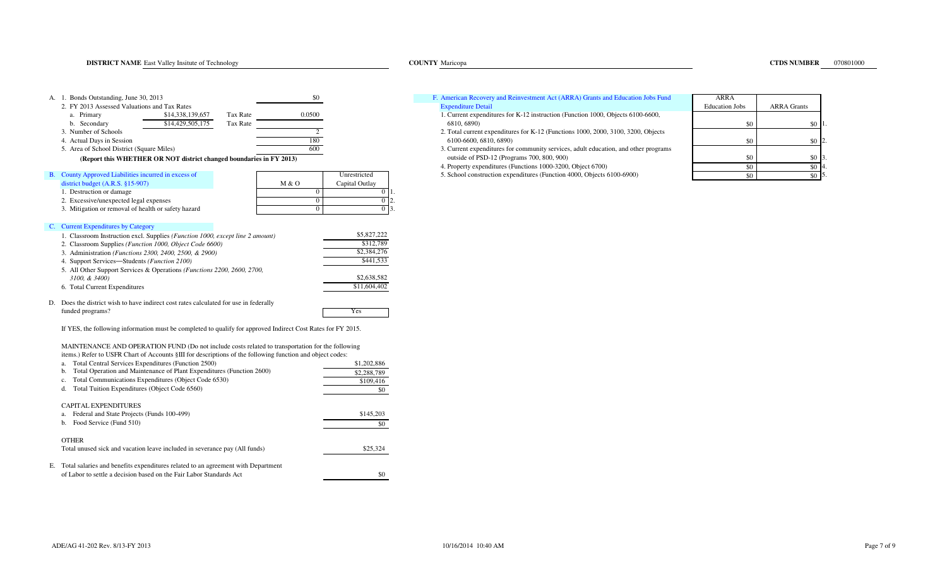| \$0<br>A. 1. Bonds Outstanding, June 30, 2013                                                                                                                                                                                                                                                                                                                                                                                                                                                                                          | F. American Recovery and Reinvestment Act (ARRA) Grants and Education Jobs Fund                                                                                                                                                                                                                                                                                                 | <b>ARRA</b>                                |
|----------------------------------------------------------------------------------------------------------------------------------------------------------------------------------------------------------------------------------------------------------------------------------------------------------------------------------------------------------------------------------------------------------------------------------------------------------------------------------------------------------------------------------------|---------------------------------------------------------------------------------------------------------------------------------------------------------------------------------------------------------------------------------------------------------------------------------------------------------------------------------------------------------------------------------|--------------------------------------------|
| 2. FY 2013 Assessed Valuations and Tax Rates<br>0.0500<br>a. Primary<br>\$14,338,139,657<br>Tax Rate<br>b. Secondary<br>\$14,429,505,175<br>Tax Rate<br>$\overline{2}$<br>3. Number of Schools<br>180<br>4. Actual Days in Session<br>600<br>5. Area of School District (Square Miles)<br>(Report this WHETHER OR NOT district changed boundaries in FY 2013)                                                                                                                                                                          | <b>Expenditure Detail</b><br>1. Current expenditures for K-12 instruction (Function 1000, Objects 6100-6600,<br>6810, 6890)<br>2. Total current expenditures for K-12 (Functions 1000, 2000, 3100, 3200, Objects<br>6100-6600, 6810, 6890)<br>3. Current expenditures for community services, adult education, and other programs<br>outside of PSD-12 (Programs 700, 800, 900) | <b>Education Jobs</b><br>\$0<br>\$0<br>\$0 |
| B. County Approved Liabilities incurred in excess of<br>Unrestricted                                                                                                                                                                                                                                                                                                                                                                                                                                                                   | 4. Property expenditures (Functions 1000-3200, Object 6700)<br>5. School construction expenditures (Function 4000, Objects 6100-6900)                                                                                                                                                                                                                                           | \$0<br>\$0                                 |
| district budget (A.R.S. §15-907)<br>M & O<br>Capital Outlay<br>1. Destruction or damage<br>$\overline{0}$<br>2. Excessive/unexpected legal expenses<br>$\Omega$<br>$\Omega$<br>3. Mitigation or removal of health or safety hazard<br>$\Omega$<br>0 <sub>13</sub>                                                                                                                                                                                                                                                                      |                                                                                                                                                                                                                                                                                                                                                                                 |                                            |
| C. Current Expenditures by Category                                                                                                                                                                                                                                                                                                                                                                                                                                                                                                    |                                                                                                                                                                                                                                                                                                                                                                                 |                                            |
| \$5,827,222<br>1. Classroom Instruction excl. Supplies (Function 1000, except line 2 amount)<br>\$312,789<br>2. Classroom Supplies (Function 1000, Object Code 6600)<br>\$2,384,276<br>3. Administration (Functions 2300, 2400, 2500, & 2900)<br>\$441,533<br>4. Support Services-Students (Function 2100)<br>5. All Other Support Services & Operations (Functions 2200, 2600, 2700,<br>\$2,638,582<br>3100, & 3400)<br>\$11,604,402<br>6. Total Current Expenditures                                                                 |                                                                                                                                                                                                                                                                                                                                                                                 |                                            |
| D. Does the district wish to have indirect cost rates calculated for use in federally<br>funded programs?<br>Yes                                                                                                                                                                                                                                                                                                                                                                                                                       |                                                                                                                                                                                                                                                                                                                                                                                 |                                            |
| If YES, the following information must be completed to qualify for approved Indirect Cost Rates for FY 2015.                                                                                                                                                                                                                                                                                                                                                                                                                           |                                                                                                                                                                                                                                                                                                                                                                                 |                                            |
| MAINTENANCE AND OPERATION FUND (Do not include costs related to transportation for the following<br>items.) Refer to USFR Chart of Accounts §III for descriptions of the following function and object codes:<br>Total Central Services Expenditures (Function 2500)<br>\$1,202,886<br>a.<br>b. Total Operation and Maintenance of Plant Expenditures (Function 2600)<br>\$2,288,789<br>Total Communications Expenditures (Object Code 6530)<br>$c_{\cdot}$<br>\$109,416<br>Total Tuition Expenditures (Object Code 6560)<br>d.<br>\$0 |                                                                                                                                                                                                                                                                                                                                                                                 |                                            |
| CAPITAL EXPENDITURES<br>a. Federal and State Projects (Funds 100-499)<br>\$145,203<br>b. Food Service (Fund 510)<br>\$0                                                                                                                                                                                                                                                                                                                                                                                                                |                                                                                                                                                                                                                                                                                                                                                                                 |                                            |
| <b>OTHER</b><br>Total unused sick and vacation leave included in severance pay (All funds)<br>\$25,324                                                                                                                                                                                                                                                                                                                                                                                                                                 |                                                                                                                                                                                                                                                                                                                                                                                 |                                            |
| E. Total salaries and benefits expenditures related to an agreement with Department<br>of Labor to settle a decision based on the Fair Labor Standards Act<br>\$0                                                                                                                                                                                                                                                                                                                                                                      |                                                                                                                                                                                                                                                                                                                                                                                 |                                            |

|                  |          |         | F. American Recovery and Reinvestment Act (ARRA) Grants and Education Jobs Fund | ARRA           |                    |
|------------------|----------|---------|---------------------------------------------------------------------------------|----------------|--------------------|
| d Tax Rates      |          |         | xnenditure Detail                                                               | Education Jobs | <b>ARRA</b> Grants |
| \$14 338 130 657 | Tav Rate | 0 U 200 | Current expenditures for K 12 instruction (Eunction 1000, Objects 6100, 6600    |                |                    |

- 1. Current expenditures for K-12 instruction (Function 1000, Objects 6100-6600, 6810, 6890)
- 2. Total current expenditures for K-12 (Functions 1000, 2000, 3100, 3200, Objects
- 3. Current expenditures for community services, adult education, and other programs **outside of PSD-12 (Programs 700, 800, 900)** 
	- 4. Property expenditures (Functions 1000-3200, Object 6700)5. School construction expenditures (Function 4000, Objects 6100-6900)

| ini Euucanon joos Funu   | ANNA<br><b>Education Jobs</b> | <b>ARRA Grants</b> |    |
|--------------------------|-------------------------------|--------------------|----|
| Objects 6100-6600,       |                               |                    |    |
|                          | \$0                           | \$0                |    |
| 0, 3100, 3200, Objects   |                               |                    |    |
|                          | \$0                           | \$0                |    |
| tion, and other programs |                               |                    |    |
|                          | \$0                           | \$0                | 3. |
|                          | \$0                           | \$0                | 4. |
| 6100-6900)               | \$0                           | SC.                | 5. |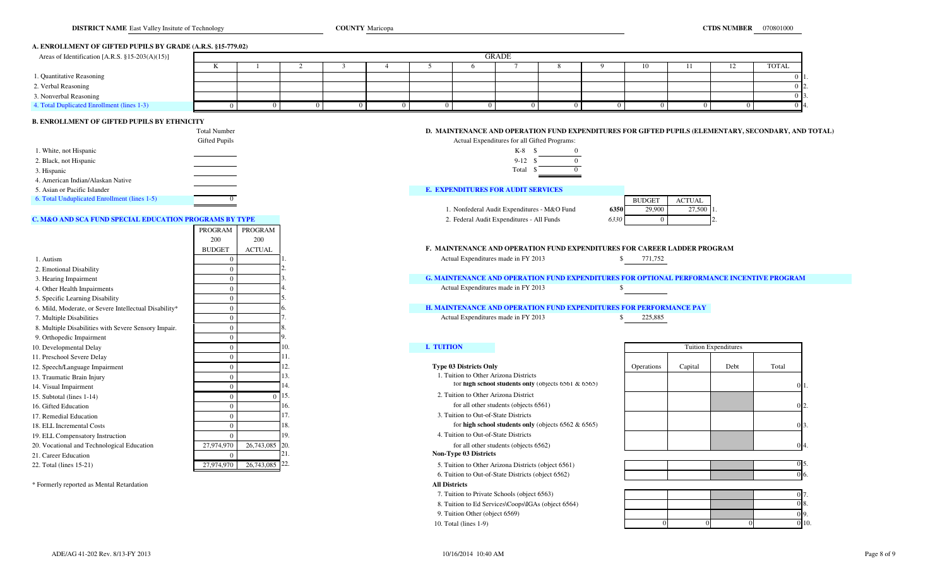## **A. ENROLLMENT OF GIFTED PUPILS BY GRADE (A.R.S. §15-779.02)**

| Areas of Identification [A.R.S. $\S 15-203(A)(15)$ ] |              |  |  |  | GRADE |  |              |  |            |
|------------------------------------------------------|--------------|--|--|--|-------|--|--------------|--|------------|
|                                                      | $\mathbf{r}$ |  |  |  |       |  | $10^{\circ}$ |  | TOTAL      |
| 1. Quantitative Reasoning                            |              |  |  |  |       |  |              |  | 0 H        |
| 2. Verbal Reasoning                                  |              |  |  |  |       |  |              |  | $0\,$ $\,$ |
| 3. Nonverbal Reasoning                               |              |  |  |  |       |  |              |  |            |
| 4. Total Duplicated Enrollment (lines 1-3)           |              |  |  |  |       |  |              |  | 0.14       |

## **B. ENROLLMENT OF GIFTED PUPILS BY ETHNICITY**

|                                              | <b>Total Number</b> | D. MAINTENANCE AND OPERATION FUND EXPENDITURES FOR GIFTED PUPILS (EL |               |               |
|----------------------------------------------|---------------------|----------------------------------------------------------------------|---------------|---------------|
|                                              | Gifted Pupils       | Actual Expenditures for all Gifted Programs:                         |               |               |
| 1. White, not Hispanic                       |                     | $K-8$                                                                |               |               |
| 2. Black, not Hispanic                       |                     | $9 - 12$                                                             |               |               |
| 3. Hispanic                                  |                     | Total                                                                |               |               |
| 4. American Indian/Alaskan Native            |                     |                                                                      |               |               |
| 5. Asian or Pacific Islander                 |                     | <b>E. EXPENDITURES FOR AUDIT SERVICES</b>                            |               |               |
| 6. Total Unduplicated Enrollment (lines 1-5) |                     |                                                                      | <b>BUDGET</b> | <b>ACTUAL</b> |
|                                              |                     |                                                                      |               |               |

### **C. M&O AND SCA FUND SPECIAL EDUCATION PROGRAMS BY TYPE** 2. Federal Audit Expenditures - All Funds

|                                                       | PROGRAM       | PROGRAM                     |                                                                  |                                                        |  |  |
|-------------------------------------------------------|---------------|-----------------------------|------------------------------------------------------------------|--------------------------------------------------------|--|--|
|                                                       | 200           | 200                         |                                                                  |                                                        |  |  |
|                                                       | <b>BUDGET</b> | <b>ACTUAL</b>               | <b>F. MAINTENANCE AND OPERATION FUND EXPENDITURES FOR CAREEI</b> |                                                        |  |  |
| 1. Autism                                             |               |                             | Actual Expenditures made in FY 2013                              |                                                        |  |  |
| 2. Emotional Disability                               | $\Omega$      |                             |                                                                  |                                                        |  |  |
| 3. Hearing Impairment                                 | 0             |                             | <b>G. MAINTENANCE AND OPERATION FUND EXPENDITURES</b>            |                                                        |  |  |
| 4. Other Health Impairments                           |               |                             | Actual Expenditures made in FY 2013                              |                                                        |  |  |
| 5. Specific Learning Disability                       |               |                             |                                                                  |                                                        |  |  |
| 6. Mild, Moderate, or Severe Intellectual Disability* |               |                             | <b>H. MAINTENANCE AND OPERATION FUND EXPENDITURES</b>            |                                                        |  |  |
| 7. Multiple Disabilities                              | $\theta$      |                             | Actual Expenditures made in FY 2013                              |                                                        |  |  |
| 8. Multiple Disabilities with Severe Sensory Impair.  |               |                             |                                                                  |                                                        |  |  |
| 9. Orthopedic Impairment                              |               |                             |                                                                  |                                                        |  |  |
| 10. Developmental Delay                               |               |                             | <b>I. TUITION</b>                                                |                                                        |  |  |
| 11. Preschool Severe Delay                            | $\Omega$      |                             |                                                                  |                                                        |  |  |
| 12. Speech/Language Impairment                        |               |                             | <b>Type 03 Districts Only</b>                                    |                                                        |  |  |
| 13. Traumatic Brain Injury                            | $\Omega$      |                             | 1. Tuition to Other Arizona Districts                            |                                                        |  |  |
| 14. Visual Impairment                                 | $\theta$      |                             |                                                                  | for high school students only (objects $6561 & 6565$ ) |  |  |
| 15. Subtotal (lines 1-14)                             |               | 15.<br>$\Omega$             | 2. Tuition to Other Arizona District                             |                                                        |  |  |
| 16. Gifted Education                                  |               |                             | for all other students (objects 6561)                            |                                                        |  |  |
| 17. Remedial Education                                |               |                             | 3. Tuition to Out-of-State Districts                             |                                                        |  |  |
| 18. ELL Incremental Costs                             |               |                             | for high school students only (objects $6562 \& 6565$ )          |                                                        |  |  |
| 19. ELL Compensatory Instruction                      |               |                             | 4. Tuition to Out-of-State Districts                             |                                                        |  |  |
| 20. Vocational and Technological Education            | 27,974,970    | 26,743,085<br>20.           | for all other students (objects 6562)                            |                                                        |  |  |
| 21. Career Education                                  | $\Omega$      |                             | Non-Type 03 Districts                                            |                                                        |  |  |
| 22. Total (lines 15-21)                               | 27,974,970    | $26,743,085$ <sup>22.</sup> | 5. Tuition to Other Arizona Districts (object 6561)              |                                                        |  |  |

\* Formerly reported as Mental Retardation **All Districts**

| <b>Total Number</b> | ). MAINTENANCE AND OPERATION FUND EXPENDITURES FOR GIFTED PUPILS (ELEMENTARY, SECONDARY, AND TOTAL) |
|---------------------|-----------------------------------------------------------------------------------------------------|
|                     |                                                                                                     |

| Expenditures for all Gifted Programs: |  |  |  |  |  |  |  |  |  |
|---------------------------------------|--|--|--|--|--|--|--|--|--|
| K-8                                   |  |  |  |  |  |  |  |  |  |
| $9-12S$                               |  |  |  |  |  |  |  |  |  |
| Total                                 |  |  |  |  |  |  |  |  |  |

#### **JRES FOR AUDIT SERVICES**

1. Nonfederal Audit Expenditures - M&O Fund

|   |      | <b>BUDGET</b> | <b>ACTUAL</b> |  |
|---|------|---------------|---------------|--|
| d | 6350 | 29,900        | 27,500 1      |  |
|   | 6330 |               |               |  |

#### F. MAINTENANCE AND OPERATION FUND EXPENDITURES FOR CAREER LADDER PROGRAM

**3. MAINTENANCE AND OPERATION FUND EXPENDITURES FOR OPTIONAL PERFORMANCE INCENTIVE PROGRAM**<br>Actual Expenditures made in FY 2013

# **H. MAINTENANCE AND OPERATION FUND EXPENDITURES FOR PERFORMANCE PAY**<br>Actual Expenditures made in FY 2013 8 225,885

# 1. Tuition to Other Arizona Districts

7. Tuition to Private Schools (object 6563)

8. Tuition to Ed Services\Coops\IGAs (object 6564)

9. Tuition Other (object 6569)

10. Total (lines 1-9)

|                | 10.      | I. TUITION                                              | <b>Tuition Expenditures</b> |         |      |                 |
|----------------|----------|---------------------------------------------------------|-----------------------------|---------|------|-----------------|
|                |          |                                                         |                             |         |      |                 |
|                | ٠.       | <b>Type 03 Districts Only</b>                           | Operations                  | Capital | Debt | Total           |
|                | LJ.      | L. Tuition to Other Arizona Districts                   |                             |         |      |                 |
|                | 14.      | for high school students only (objects $6561 & 6565$ )  |                             |         |      | 0 <sup>1</sup>  |
|                | $0\,15.$ | 2. Tuition to Other Arizona District                    |                             |         |      |                 |
|                | 16.      | for all other students (objects 6561)                   |                             |         |      | 0 <sub>2</sub>  |
|                |          | 3. Tuition to Out-of-State Districts                    |                             |         |      |                 |
|                | 18.      | for high school students only (objects $6562 \& 6565$ ) |                             |         |      | $0\overline{3}$ |
|                | 19.      | 4. Tuition to Out-of-State Districts                    |                             |         |      |                 |
| 26,743,085 20. |          | for all other students (objects 6562)                   |                             |         |      | 0 <sub>4</sub>  |
|                | LZ 1.    | <b>Non-Type 03 Districts</b>                            |                             |         |      |                 |

| 5. Tuition to Other Arizona Districts (object 6561) |  |  |      |
|-----------------------------------------------------|--|--|------|
| 6. Tuition to Out-of-State Districts (object 6562)  |  |  | 016. |

| te Schools (object 6563)         |  | OI |      |
|----------------------------------|--|----|------|
| ervices\Coops\IGAs (object 6564) |  |    | 08.  |
| object 6569)                     |  |    | 09.  |
|                                  |  |    | 0 10 |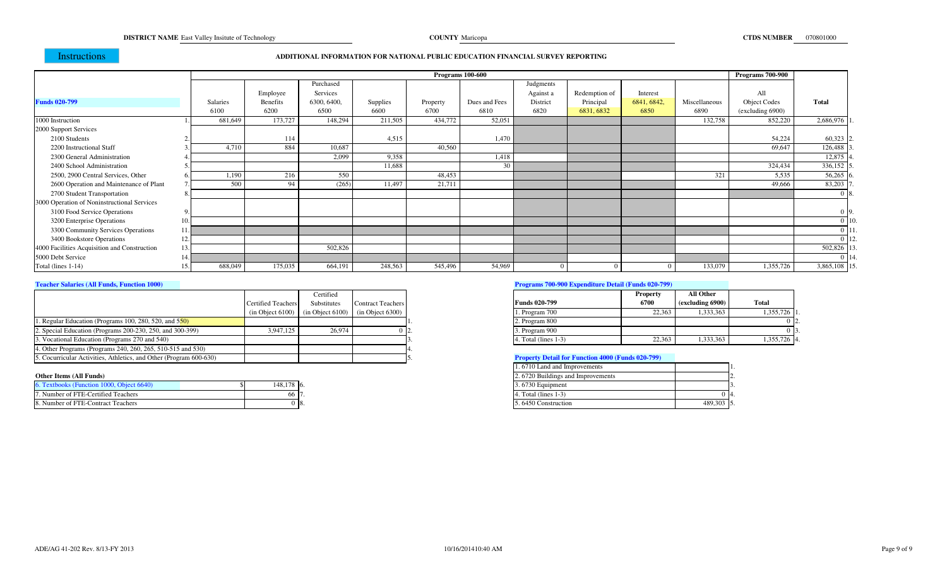**COUNTY** Maricopa

# Instructions

#### **ADDITIONAL INFORMATION FOR NATIONAL PUBLIC EDUCATION FINANCIAL SURVEY REPORTING**

|                                              |                 |          |             |          |          | <b>Programs 100-600</b> |           |               |             |               | <b>Programs 700-900</b> |                 |
|----------------------------------------------|-----------------|----------|-------------|----------|----------|-------------------------|-----------|---------------|-------------|---------------|-------------------------|-----------------|
|                                              |                 |          | Purchased   |          |          |                         | Judgments |               |             |               |                         |                 |
|                                              |                 | Employee | Services    |          |          |                         | Against a | Redemption of | Interest    |               | All                     |                 |
| <b>Funds 020-799</b>                         | <b>Salaries</b> | Benefits | 6300, 6400, | Supplies | Property | Dues and Fees           | District  | Principal     | 6841, 6842, | Miscellaneous | <b>Object Codes</b>     | <b>Total</b>    |
|                                              | 6100            | 6200     | 6500        | 6600     | 6700     | 6810                    | 6820      | 6831, 6832    | 6850        | 6890          | (excluding 6900)        |                 |
| 1000 Instruction                             | 681,649         | 173,727  | 148,294     | 211,505  | 434,772  | 52,051                  |           |               |             | 132,758       | 852,220                 | 2,686,976       |
| 2000 Support Services                        |                 |          |             |          |          |                         |           |               |             |               |                         |                 |
| 2100 Students                                |                 | 114      |             | 4,515    |          | 1,470                   |           |               |             |               | 54,224                  | 60,323          |
| 2200 Instructional Staff                     | 4,710           | 884      | 10,687      |          | 40,560   |                         |           |               |             |               | 69,647                  | 126,488         |
| 2300 General Administration                  |                 |          | 2.099       | 9,358    |          | 1.418                   |           |               |             |               |                         | 12,875          |
| 2400 School Administration                   |                 |          |             | 11,688   |          | 30                      |           |               |             |               | 324,434                 | 336,152         |
| 2500, 2900 Central Services, Other           | 1,190           | 216      | 550         |          | 48,453   |                         |           |               |             | 321           | 5,535                   | $56,265$ 6      |
| 2600 Operation and Maintenance of Plant      | 500             | 94       | (265)       | 11,497   | 21,711   |                         |           |               |             |               | 49,666                  | 83,203          |
| 2700 Student Transportation                  |                 |          |             |          |          |                         |           |               |             |               |                         |                 |
| 3000 Operation of Noninstructional Services  |                 |          |             |          |          |                         |           |               |             |               |                         |                 |
| 3100 Food Service Operations                 |                 |          |             |          |          |                         |           |               |             |               |                         |                 |
| 3200 Enterprise Operations                   |                 |          |             |          |          |                         |           |               |             |               |                         | 0 <sup>10</sup> |
| 3300 Community Services Operations           |                 |          |             |          |          |                         |           |               |             |               |                         |                 |
| 3400 Bookstore Operations                    |                 |          |             |          |          |                         |           |               |             |               |                         |                 |
| 4000 Facilities Acquisition and Construction |                 |          | 502,826     |          |          |                         |           |               |             |               |                         | 502,826         |
| 5000 Debt Service                            |                 |          |             |          |          |                         |           |               |             |               |                         |                 |
| Total (lines 1-14)                           | 688,049         | 175,035  | 664,191     | 248,563  | 545,496  | 54,969                  |           |               |             | 133,079       | 1,355,726               | 3,865,108       |

#### **Teacher Salaries (All Funds, Function 1000)**

|                                                                    |                           | Certified          |                                                          |                                                          | <b>Property</b> |
|--------------------------------------------------------------------|---------------------------|--------------------|----------------------------------------------------------|----------------------------------------------------------|-----------------|
|                                                                    | <b>Certified Teachers</b> | <b>Substitutes</b> | <b>Contract Teachers</b>                                 | <b>Funds 020-799</b>                                     | 6700            |
|                                                                    |                           |                    | $(in Object 6100)$ $(in Object 6100)$ $(in Object 6300)$ | 1. Program 700                                           | 22.363          |
| 1. Regular Education (Programs 100, 280, 520, and 550)             |                           |                    |                                                          | 2. Program 800                                           |                 |
| 2. Special Education (Programs 200-230, 250, and 300-399)          | 3.947.125                 | 26.974             |                                                          | 3. Program 900                                           |                 |
| 3. Vocational Education (Programs 270 and 540)                     |                           |                    |                                                          | 4. Total (lines 1-3)                                     | 22,363          |
| 4. Other Programs (Programs 240, 260, 265, 510-515 and 530)        |                           |                    |                                                          |                                                          |                 |
| 5. Cocurricular Activities, Athletics, and Other (Program 600-630) |                           |                    |                                                          | <b>Property Detail for Function 4000 (Funds 020-799)</b> |                 |

#### **Other Items (All Funds)**

| 6. Textbooks (Function 1000, Object 6640) | 148.178 6. |  |
|-------------------------------------------|------------|--|
| 7. Number of FTE-Certified Teachers       | იი         |  |
| 8. Number of FTE-Contract Teachers        |            |  |

#### **Programs 700-900 Expenditure Detail (Funds 020-799)**

|      | Certified        |                   |       |                        | <b>Property</b> | All Other        |              |
|------|------------------|-------------------|-------|------------------------|-----------------|------------------|--------------|
| rs I | Substitutes      | Contract Teachers |       | <b>Funds 020-799</b>   | 6700            | (excluding 6900) | <b>Total</b> |
|      | (in Object 6100) | (in Object 6300)  |       | . Program 700          | 22.363          | .333,363         | 1,355,726 1  |
|      |                  |                   |       | 2. Program 800         |                 |                  |              |
|      | 26,974           |                   | ' LZ. | 3. Program 900         |                 |                  |              |
|      |                  |                   |       | $4. Total (lines 1-3)$ | 22.363          | ,333,363         | 1,355,726 4. |

# **Property Detail for Function 4000 (Funds 020-799)**

|                   |            | 1.6710 Land and Improvements      |           |
|-------------------|------------|-----------------------------------|-----------|
|                   |            | 2.6720 Buildings and Improvements |           |
| 000, Object 6640) | 148.178 6. | 3.6730 Equipment                  |           |
| ied Teachers      | 66.17.     | 4. Total (lines $1-3$ )           |           |
| act Teachers      | 018.       | 5.6450 Construction               | 489,303 5 |